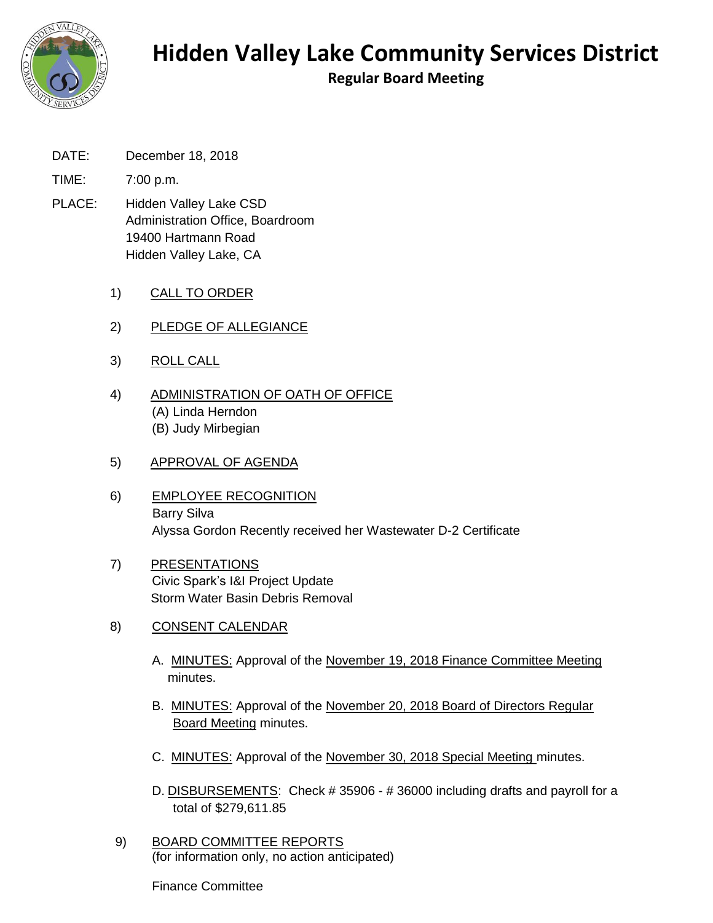

**Regular Board Meeting**

- DATE: December 18, 2018
- TIME: 7:00 p.m.
- PLACE: Hidden Valley Lake CSD Administration Office, Boardroom 19400 Hartmann Road Hidden Valley Lake, CA
	- 1) CALL TO ORDER
	- 2) PLEDGE OF ALLEGIANCE
	- 3) ROLL CALL
	- 4) ADMINISTRATION OF OATH OF OFFICE (A) Linda Herndon (B) Judy Mirbegian
	- 5) APPROVAL OF AGENDA
	- 6) EMPLOYEE RECOGNITION Barry Silva Alyssa Gordon Recently received her Wastewater D-2 Certificate
	- 7) PRESENTATIONS Civic Spark's I&I Project Update Storm Water Basin Debris Removal
	- 8) CONSENT CALENDAR
		- A. MINUTES: Approval of the November 19, 2018 Finance Committee Meeting minutes.
		- B. MINUTES: Approval of the November 20, 2018 Board of Directors Regular Board Meeting minutes.
		- C. MINUTES: Approval of the November 30, 2018 Special Meeting minutes.
		- D. DISBURSEMENTS: Check # 35906 # 36000 including drafts and payroll for a total of \$279,611.85
	- 9) BOARD COMMITTEE REPORTS (for information only, no action anticipated)

Finance Committee